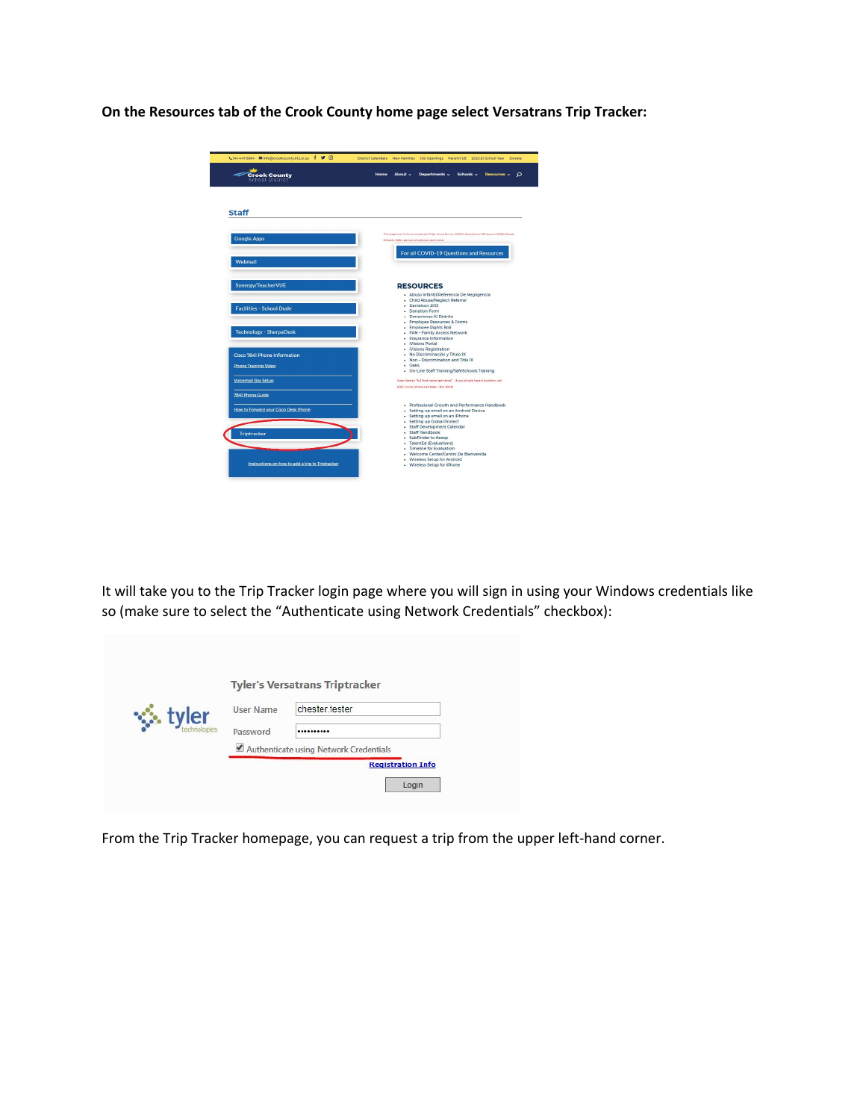**On the Resources tab of the Crook County home page select Versatrans Trip Tracker:**

| <b>Crook County</b><br>School District                                         | Home<br>About $\sim$<br>Departments v<br>Schools v<br>Resources v<br>Ω                                                                                                                                                                                                                                                                                                    |
|--------------------------------------------------------------------------------|---------------------------------------------------------------------------------------------------------------------------------------------------------------------------------------------------------------------------------------------------------------------------------------------------------------------------------------------------------------------------|
| <b>Staff</b>                                                                   |                                                                                                                                                                                                                                                                                                                                                                           |
| <b>Google Apps</b>                                                             | This page has links to employee FAQs, leave forms, CCSD's Operational Blueprint, ODE's Beady<br>Schools, Safe Learners Cuidance, and more.                                                                                                                                                                                                                                |
| Webmail                                                                        | For all COVID-19 Questions and Resources                                                                                                                                                                                                                                                                                                                                  |
| Synergy/TeacherVUE                                                             | <b>RESOURCES</b>                                                                                                                                                                                                                                                                                                                                                          |
| <b>Facilities - School Dude</b>                                                | - Abuso Infantil/Referencia De Negligencia<br>- Child Abuse/Neglect Referral<br>- Danielson 2013<br>- Donation Form<br>Donaciones Al Distrito<br>- Employee Resources & Forms                                                                                                                                                                                             |
| <b>Technology - SherpaDesk</b>                                                 | - Employee Rights Boli<br>- FAN - Family Access Network<br>· Insurance Information<br>- Wisions Portal                                                                                                                                                                                                                                                                    |
| Cisco 7841 Phone Information<br><b>Phone Training Video</b>                    | - Wisions Registration<br>- No Discriminación y Titulo IX<br>. Non - Discrimination and Title IX<br>$-$ Oaks<br>- On-Line Staff Training/SafeSchools Training                                                                                                                                                                                                             |
| <b>Voicemail Box Setup</b>                                                     | (User Name="full first name.last name" If you should have a problem, call<br>Mildi Corpiri at Salvany-6666 - Ext. 3005)                                                                                                                                                                                                                                                   |
| 7841 Phone Guide<br>How to Forward your Cisco Desk Phone<br><b>Triptracker</b> | . Professional Growth and Performance Handbook<br>- Setting up email on an Android Device<br>· Setting up email on an iPhone<br>- Setting up Global Protect<br>- Staff Development Calendar<br>- Staff Handbook<br>· SubFinder to Aesop<br>- TalentEd (Evaluations)<br>- Timeline for Evaluation<br>- Welcome Center/Centro De Bienvenida<br>· Wireless Setup for Android |

It will take you to the Trip Tracker login page where you will sign in using your Windows credentials like so (make sure to select the "Authenticate using Network Credentials" checkbox):

| <b><del>☆</del></b> tyler | User Name                | chester tester                         |
|---------------------------|--------------------------|----------------------------------------|
|                           | Password                 |                                        |
|                           |                          | Authenticate using Network Credentials |
|                           | <b>Registration Info</b> |                                        |

From the Trip Tracker homepage, you can request a trip from the upper left-hand corner.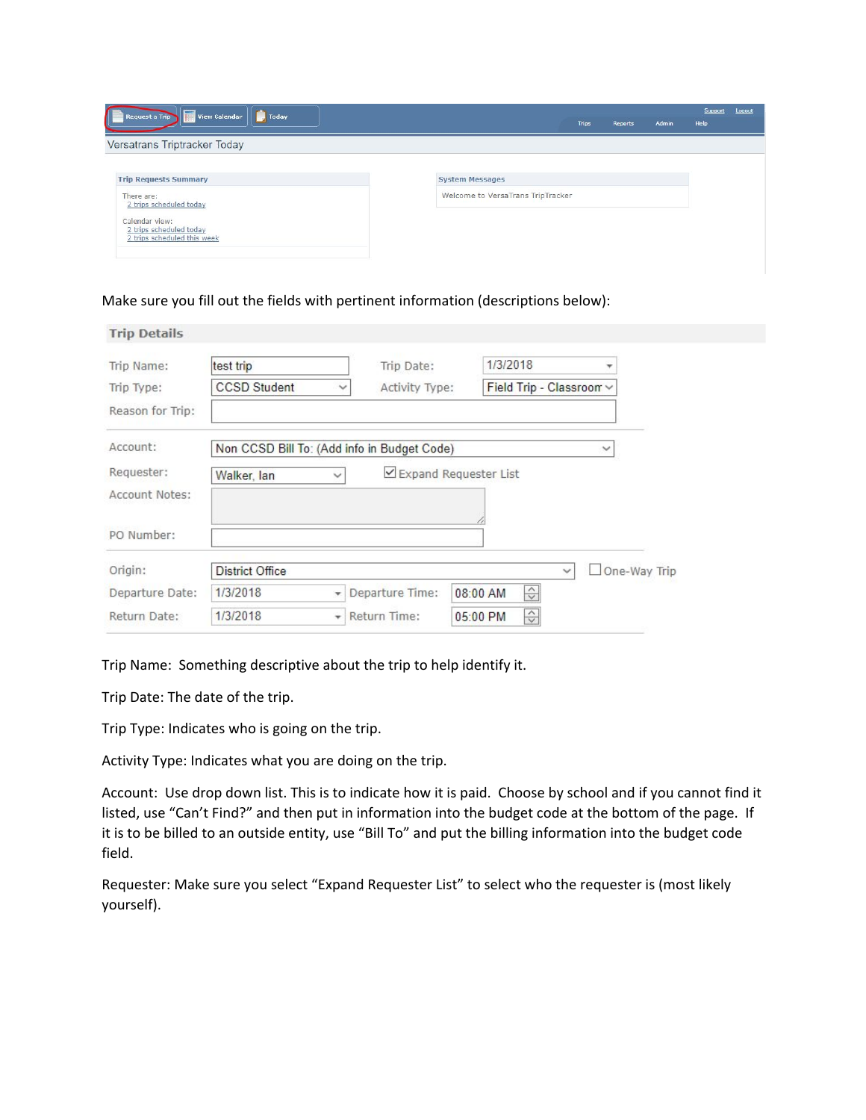| <b>View Calendar</b><br>Request a Trip<br>ſ<br>Today                     | Admin<br><b>Trips</b><br>Reports  | Support<br>Help | Logout |
|--------------------------------------------------------------------------|-----------------------------------|-----------------|--------|
| Versatrans Triptracker Today                                             |                                   |                 |        |
| <b>Trip Requests Summary</b>                                             | <b>System Messages</b>            |                 |        |
| There are:<br>2 trips scheduled today                                    | Welcome to VersaTrans TripTracker |                 |        |
| Calendar view:<br>2 trips scheduled today<br>2 trips scheduled this week |                                   |                 |        |

Make sure you fill out the fields with pertinent information (descriptions below):

| <b>Trip Details</b> |                        |                                             |                                      |
|---------------------|------------------------|---------------------------------------------|--------------------------------------|
| Trip Name:          | test trip              | Trip Date:                                  | 1/3/2018<br>$\overline{\phantom{a}}$ |
| Trip Type:          | <b>CCSD Student</b>    | Activity Type:<br>$\checkmark$              | Field Trip - Classroom ~             |
| Reason for Trip:    |                        |                                             |                                      |
| Account:            |                        | Non CCSD Bill To: (Add info in Budget Code) | $\checkmark$                         |
| Requester:          | Walker, lan            | $\checkmark$                                | ⊻ Expand Requester List              |
| Account Notes:      |                        |                                             |                                      |
|                     |                        |                                             |                                      |
| PO Number:          |                        |                                             |                                      |
| Origin:             | <b>District Office</b> |                                             | One-Way Trip<br>$\checkmark$         |
| Departure Date:     | 1/3/2018               | Departure Time:<br>÷                        | $\Rightarrow$<br>08:00 AM            |
| Return Date:        | 1/3/2018               | Return Time:<br>÷                           | $\Rightarrow$<br>05:00 PM            |

Trip Name: Something descriptive about the trip to help identify it.

Trip Date: The date of the trip.

Trip Type: Indicates who is going on the trip.

Activity Type: Indicates what you are doing on the trip.

Account: Use drop down list. This is to indicate how it is paid. Choose by school and if you cannot find it listed, use "Can't Find?" and then put in information into the budget code at the bottom of the page. If it is to be billed to an outside entity, use "Bill To" and put the billing information into the budget code field.

Requester: Make sure you select "Expand Requester List" to select who the requester is (most likely yourself).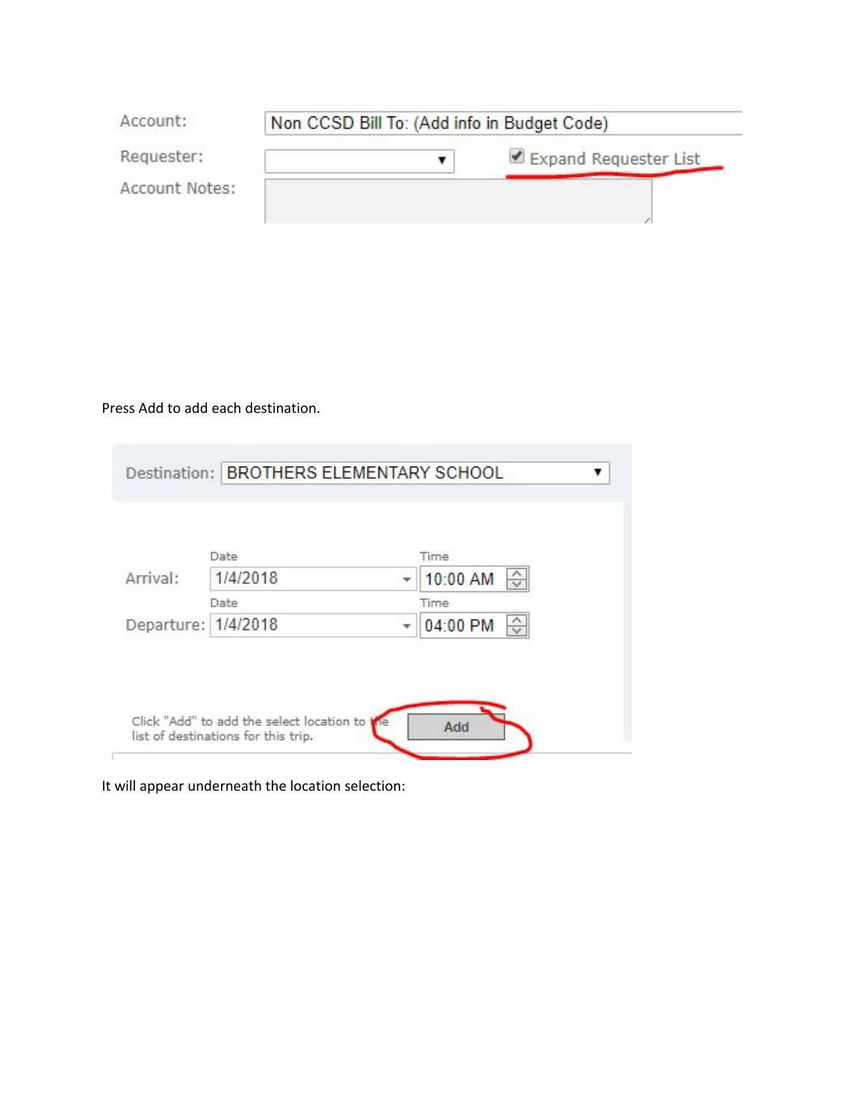| Account:       | Non CCSD Bill To: (Add info in Budget Code) |                       |
|----------------|---------------------------------------------|-----------------------|
| Requester:     |                                             | Expand Requester List |
| Account Notes: |                                             |                       |

Press Add to add each destination.

|          | Time                        |
|----------|-----------------------------|
| 1/4/2018 | $\hat{C}$<br>10:00 AM       |
|          | Time:                       |
|          | 04:00 PM                    |
|          | Date<br>Departure: 1/4/2018 |

It will appear underneath the location selection: